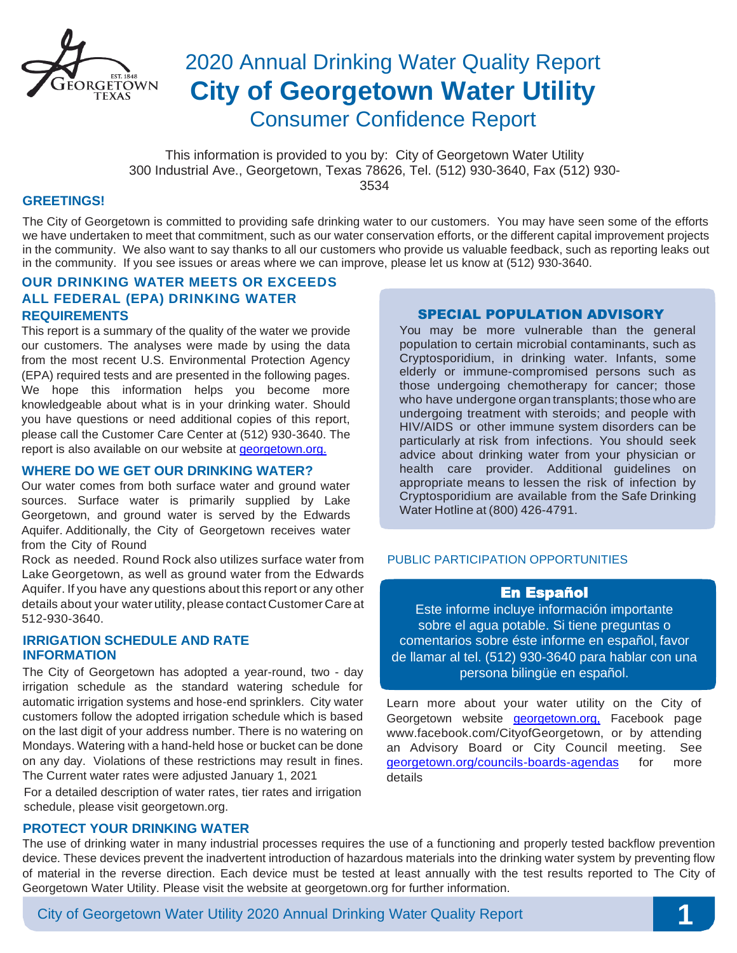

# 2020 Annual Drinking Water Quality Report **City of Georgetown Water Utility**  Consumer Confidence Report

This information is provided to you by: City of Georgetown Water Utility 300 Industrial Ave., Georgetown, Texas 78626, Tel. (512) 930-3640, Fax (512) 930- 3534

#### **GREETINGS!**

The City of Georgetown is committed to providing safe drinking water to our customers. You may have seen some of the efforts we have undertaken to meet that commitment, such as our water conservation efforts, or the different capital improvement projects in the community. We also want to say thanks to all our customers who provide us valuable feedback, such as reporting leaks out in the community. If you see issues or areas where we can improve, please let us know at (512) 930-3640.

### **OUR DRINKING WATER MEETS OR EXCEEDS ALL FEDERAL (EPA) DRINKING WATER REQUIREMENTS**

This report is a summary of the quality of the water we provide our customers. The analyses were made by using the data from the most recent U.S. Environmental Protection Agency (EPA) required tests and are presented in the following pages. We hope this information helps you become more knowledgeable about what is in your drinking water. Should you have questions or need additional copies of this report, please call the Customer Care Center at (512) 930-3640. The report is also available on our website at [georgetown.org.](http://georgetown.org./)

#### **WHERE DO WE GET OUR DRINKING WATER?**

Our water comes from both surface water and ground water sources. Surface water is primarily supplied by Lake Georgetown, and ground water is served by the Edwards Aquifer. Additionally, the City of Georgetown receives water from the City of Round

Rock as needed. Round Rock also utilizes surface water from Lake Georgetown, as well as ground water from the Edwards Aquifer. If you have any questions about this report or any other details about your water utility, please contact Customer Care at 512-930-3640.

#### **IRRIGATION SCHEDULE AND RATE INFORMATION**

The City of Georgetown has adopted a year-round, two - day irrigation schedule as the standard watering schedule for automatic irrigation systems and hose-end sprinklers. City water customers follow the adopted irrigation schedule which is based on the last digit of your address number. There is no watering on Mondays. Watering with a hand-held hose or bucket can be done on any day. Violations of these restrictions may result in fines. The Current water rates were adjusted January 1, 2021

 For a detailed description of water rates, tier rates and irrigation schedule, please visit georgetown.org.

### **PROTECT YOUR DRINKING WATER**

#### SPECIAL POPULATION ADVISORY

You may be more vulnerable than the general population to certain microbial contaminants, such as Cryptosporidium, in drinking water. Infants, some elderly or immune-compromised persons such as those undergoing chemotherapy for cancer; those who have undergone organ transplants; those who are undergoing treatment with steroids; and people with HIV/AIDS or other immune system disorders can be particularly at risk from infections. You should seek advice about drinking water from your physician or health care provider. Additional guidelines on appropriate means to lessen the risk of infection by Cryptosporidium are available from the Safe Drinking Water Hotline at (800) 426-4791.

#### PUBLIC PARTICIPATION OPPORTUNITIES

### En Español

Este informe incluye información importante sobre el agua potable. Si tiene preguntas o comentarios sobre éste informe en español, favor de llamar al tel. (512) 930-3640 para hablar con una persona bilingüe en español.

Learn more about your water utility on the City of Georgetown website **georgetown.org**, Facebook page [www.facebook.com/CityofGeorgetown,](http://www.facebook.com/CityofGeorgetown) or by attending an Advisory Board or City Council meeting. See [georgetown.org/councils-boards-agendas](http://georgetown.org/councils-boards-agendas) for more details

The use of drinking water in many industrial processes requires the use of a functioning and properly tested backflow prevention device. These devices prevent the inadvertent introduction of hazardous materials into the drinking water system by preventing flow of material in the reverse direction. Each device must be tested at least annually with the test results reported to The City of Georgetown Water Utility. Please visit the website at georgetown.org for further information.

City of Georgetown Water Utility 2020 Annual Drinking Water Quality Report **1**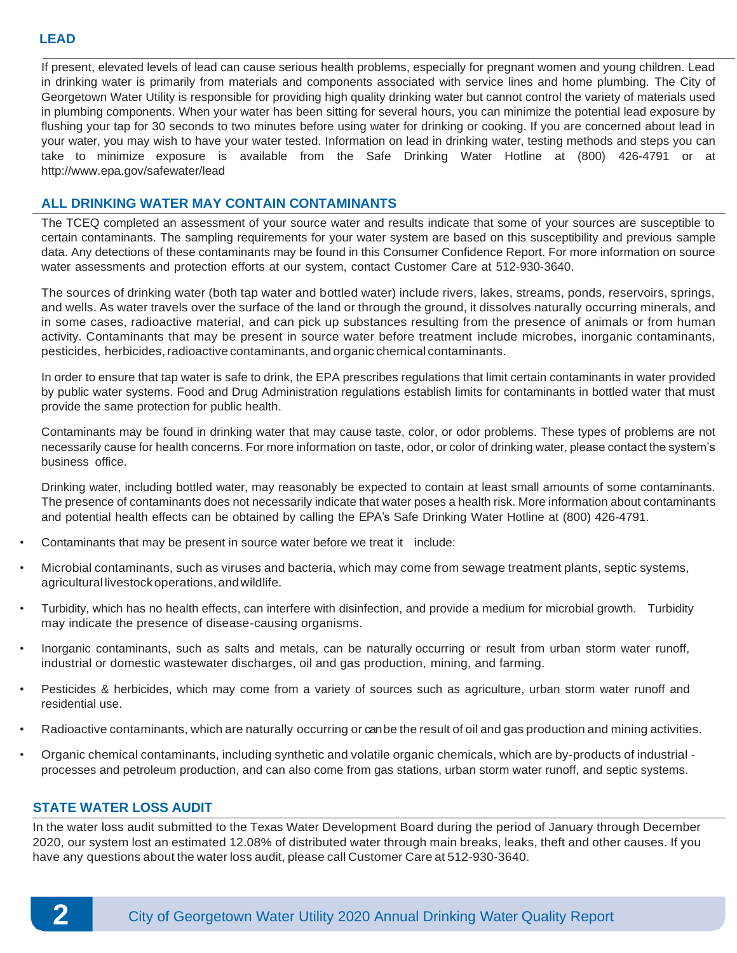If present, elevated levels of lead can cause serious health problems, especially for pregnant women and young children. Lead in drinking water is primarily from materials and components associated with service lines and home plumbing. The City of Georgetown Water Utility is responsible for providing high quality drinking water but cannot control the variety of materials used in plumbing components. When your water has been sitting for several hours, you can minimize the potential lead exposure by flushing your tap for 30 seconds to two minutes before using water for drinking or cooking. If you are concerned about lead in your water, you may wish to have your water tested. Information on lead in drinking water, testing methods and steps you can take to minimize exposure is available from the Safe Drinking Water Hotline at (800) 426-4791 or at <http://www.epa.gov/safewater/lead>

### **ALL DRINKING WATER MAY CONTAIN CONTAMINANTS**

The TCEQ completed an assessment of your source water and results indicate that some of your sources are susceptible to certain contaminants. The sampling requirements for your water system are based on this susceptibility and previous sample data. Any detections of these contaminants may be found in this Consumer Confidence Report. For more information on source water assessments and protection efforts at our system, contact Customer Care at 512-930-3640.

The sources of drinking water (both tap water and bottled water) include rivers, lakes, streams, ponds, reservoirs, springs, and wells. As water travels over the surface of the land or through the ground, it dissolves naturally occurring minerals, and in some cases, radioactive material, and can pick up substances resulting from the presence of animals or from human activity. Contaminants that may be present in source water before treatment include microbes, inorganic contaminants, pesticides, herbicides, radioactive contaminants, and organic chemical contaminants.

In order to ensure that tap water is safe to drink, the EPA prescribes regulations that limit certain contaminants in water provided by public water systems. Food and Drug Administration regulations establish limits for contaminants in bottled water that must provide the same protection for public health.

Contaminants may be found in drinking water that may cause taste, color, or odor problems. These types of problems are not necessarily cause for health concerns. For more information on taste, odor, or color of drinking water, please contact the system's business office.

Drinking water, including bottled water, may reasonably be expected to contain at least small amounts of some contaminants. The presence of contaminants does not necessarily indicate that water poses a health risk. More information about contaminants and potential health effects can be obtained by calling the EPA's Safe Drinking Water Hotline at (800) 426-4791.

- Contaminants that may be present in source water before we treat it include:
- Microbial contaminants, such as viruses and bacteria, which may come from sewage treatment plants, septic systems, agricultural livestockoperations,andwildlife.
- Turbidity, which has no health effects, can interfere with disinfection, and provide a medium for microbial growth. Turbidity may indicate the presence of disease-causing organisms.
- Inorganic contaminants, such as salts and metals, can be naturally occurring or result from urban storm water runoff, industrial or domestic wastewater discharges, oil and gas production, mining, and farming.
- Pesticides & herbicides, which may come from a variety of sources such as agriculture, urban storm water runoff and residential use.
- Radioactive contaminants, which are naturally occurring or can be the result of oil and gas production and mining activities.
- Organic chemical contaminants, including synthetic and volatile organic chemicals, which are by-products of industrial processes and petroleum production, and can also come from gas stations, urban storm water runoff, and septic systems.

### **STATE WATER LOSS AUDIT**

In the water loss audit submitted to the Texas Water Development Board during the period of January through December 2020, our system lost an estimated 12.08% of distributed water through main breaks, leaks, theft and other causes. If you have any questions about the water loss audit, please call Customer Care at 512-930-3640.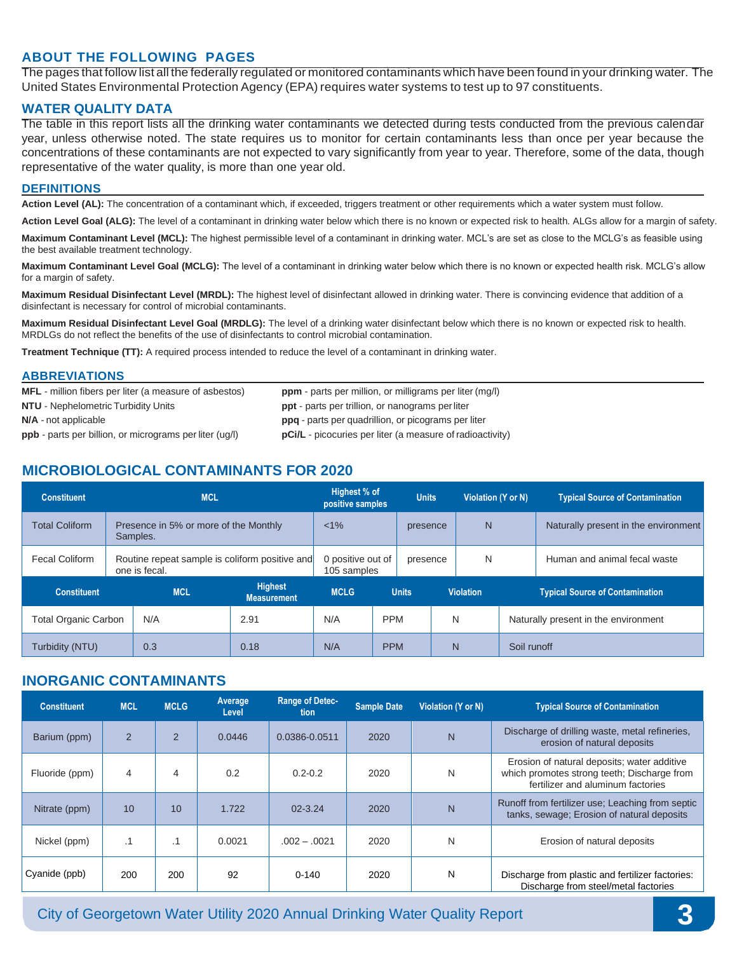### **ABOUT THE FOLLOWING PAGES**

The pages that follow list all the federally regulated or monitored contaminants which have been found in your drinking water. The United States Environmental Protection Agency (EPA) requires water systems to test up to 97 constituents.

#### **WATER QUALITY DATA**

The table in this report lists all the drinking water contaminants we detected during tests conducted from the previous calendar year, unless otherwise noted. The state requires us to monitor for certain contaminants less than once per year because the concentrations of these contaminants are not expected to vary significantly from year to year. Therefore, some of the data, though representative of the water quality, is more than one year old.

#### **DEFINITIONS**

Action Level (AL): The concentration of a contaminant which, if exceeded, triggers treatment or other requirements which a water system must follow.

**Action Level Goal (ALG):** The level of a contaminant in drinking water below which there is no known or expected risk to health. ALGs allow for a margin of safety.

**Maximum Contaminant Level (MCL):** The highest permissible level of a contaminant in drinking water. MCL's are set as close to the MCLG's as feasible using the best available treatment technology.

**Maximum Contaminant Level Goal (MCLG):** The level of a contaminant in drinking water below which there is no known or expected health risk. MCLG's allow for a margin of safety.

**Maximum Residual Disinfectant Level (MRDL):** The highest level of disinfectant allowed in drinking water. There is convincing evidence that addition of a disinfectant is necessary for control of microbial contaminants.

**Maximum Residual Disinfectant Level Goal (MRDLG):** The level of a drinking water disinfectant below which there is no known or expected risk to health. MRDLGs do not reflect the benefits of the use of disinfectants to control microbial contamination.

**Treatment Technique (TT):** A required process intended to reduce the level of a contaminant in drinking water.

#### **ABBREVIATIONS**

| <b>MFL</b> - million fibers per liter (a measure of asbestos)  | <b>ppm</b> - parts per million, or milligrams per liter (mg/l)   |
|----------------------------------------------------------------|------------------------------------------------------------------|
| <b>NTU</b> - Nephelometric Turbidity Units                     | <b>ppt</b> - parts per trillion, or nanograms per liter          |
| N/A - not applicable                                           | <b>ppg</b> - parts per quadrillion, or picograms per liter       |
| <b>ppb</b> - parts per billion, or micrograms per liter (ug/l) | <b>pCi/L</b> - picocuries per liter (a measure of radioactivity) |

## **MICROBIOLOGICAL CONTAMINANTS FOR 2020**

| <b>Constituent</b>          | <b>MCL</b>                                                      |                                                   |                     | Highest % of<br>positive samples |              | <b>Units</b> |                                      | Violation (Y or N) |                                        | <b>Typical Source of Contamination</b> |
|-----------------------------|-----------------------------------------------------------------|---------------------------------------------------|---------------------|----------------------------------|--------------|--------------|--------------------------------------|--------------------|----------------------------------------|----------------------------------------|
| <b>Total Coliform</b>       |                                                                 | Presence in 5% or more of the Monthly<br>Samples. | $< 1\%$<br>presence |                                  | N            |              | Naturally present in the environment |                    |                                        |                                        |
| Fecal Coliform              | Routine repeat sample is coliform positive and<br>one is fecal. |                                                   |                     | 0 positive out of<br>105 samples |              |              | N<br>presence                        |                    |                                        | Human and animal fecal waste           |
| <b>Constituent</b>          | <b>Highest</b><br><b>MCL</b><br><b>Measurement</b>              |                                                   | <b>MCLG</b>         |                                  | <b>Units</b> |              | <b>Violation</b>                     |                    | <b>Typical Source of Contamination</b> |                                        |
| <b>Total Organic Carbon</b> |                                                                 | N/A                                               | 2.91                | N<br><b>PPM</b><br>N/A           |              |              | Naturally present in the environment |                    |                                        |                                        |
| Turbidity (NTU)             |                                                                 | 0.3                                               | 0.18                | N/A                              | <b>PPM</b>   |              | N                                    |                    | Soil runoff                            |                                        |

### **INORGANIC CONTAMINANTS**

| <b>Constituent</b> | <b>MCL</b>     | <b>MCLG</b>    | Average<br>Level | <b>Range of Detec-</b><br>tion | <b>Sample Date</b> | Violation (Y or N) | <b>Typical Source of Contamination</b>                                                                                          |
|--------------------|----------------|----------------|------------------|--------------------------------|--------------------|--------------------|---------------------------------------------------------------------------------------------------------------------------------|
| Barium (ppm)       | $\overline{2}$ | $\overline{2}$ | 0.0446           | 0.0386-0.0511                  | 2020               | N                  | Discharge of drilling waste, metal refineries,<br>erosion of natural deposits                                                   |
| Fluoride (ppm)     | 4              | 4              | 0.2              | $0.2 - 0.2$                    | 2020               | N                  | Erosion of natural deposits; water additive<br>which promotes strong teeth; Discharge from<br>fertilizer and aluminum factories |
| Nitrate (ppm)      | 10             | 10             | 1.722            | $02 - 3.24$                    | 2020               | N                  | Runoff from fertilizer use; Leaching from septic<br>tanks, sewage; Erosion of natural deposits                                  |
| Nickel (ppm)       | $\cdot$ 1      | $\cdot$ 1      | 0.0021           | $.002 - .0021$                 | 2020               | N                  | Erosion of natural deposits                                                                                                     |
| Cyanide (ppb)      | 200            | 200            | 92               | $0 - 140$                      | 2020               | N                  | Discharge from plastic and fertilizer factories:<br>Discharge from steel/metal factories                                        |